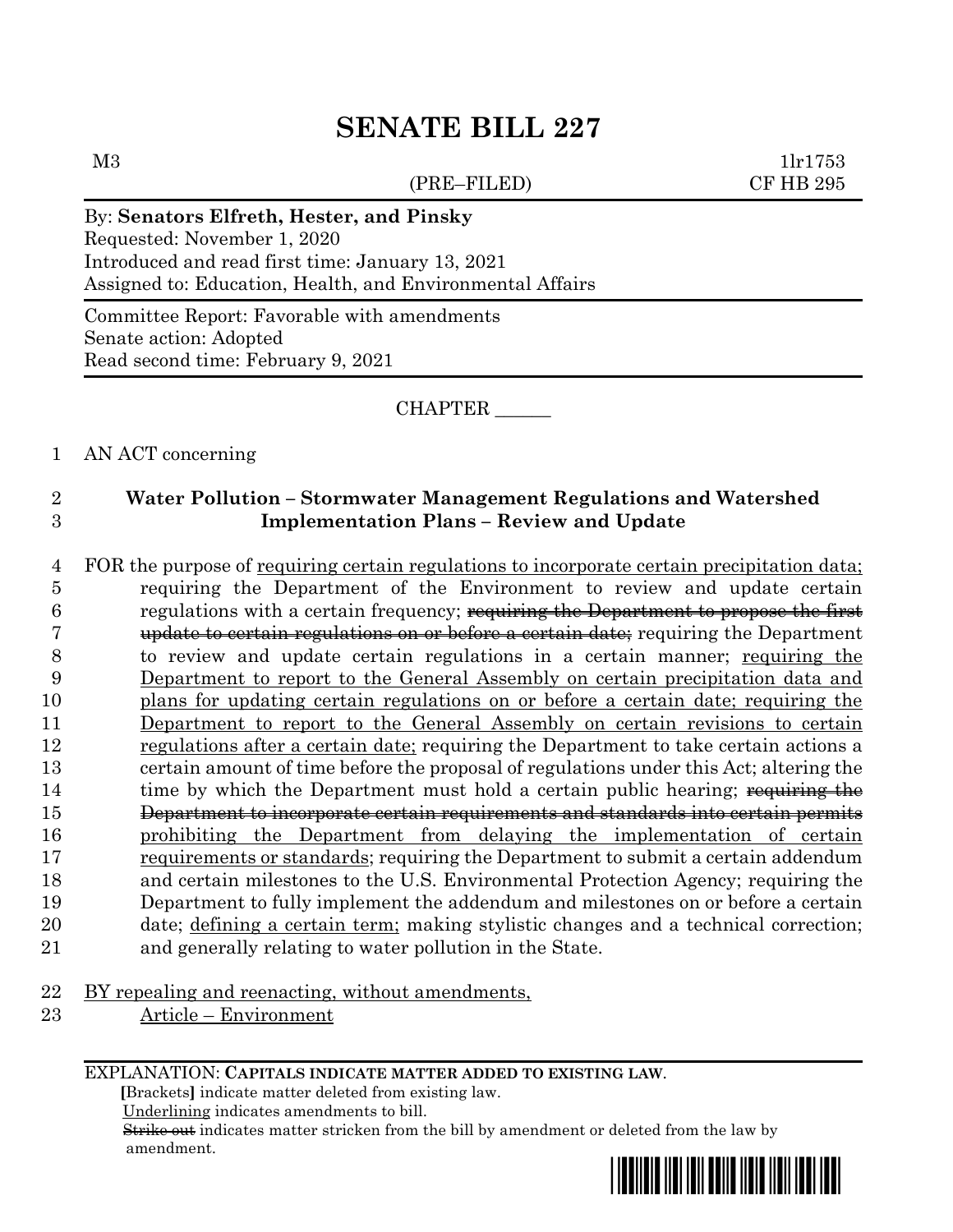(PRE–FILED) CF HB 295

 $M3$  1lr1753

### By: **Senators Elfreth, Hester, and Pinsky**

Requested: November 1, 2020 Introduced and read first time: January 13, 2021 Assigned to: Education, Health, and Environmental Affairs

Committee Report: Favorable with amendments Senate action: Adopted Read second time: February 9, 2021

CHAPTER \_\_\_\_\_\_

### 1 AN ACT concerning

## 2 **Water Pollution – Stormwater Management Regulations and Watershed**  3 **Implementation Plans – Review and Update**

 FOR the purpose of requiring certain regulations to incorporate certain precipitation data; requiring the Department of the Environment to review and update certain **regulations with a certain frequency**; requiring the Department to propose the first update to certain regulations on or before a certain date; requiring the Department to review and update certain regulations in a certain manner; requiring the Department to report to the General Assembly on certain precipitation data and plans for updating certain regulations on or before a certain date; requiring the Department to report to the General Assembly on certain revisions to certain regulations after a certain date; requiring the Department to take certain actions a certain amount of time before the proposal of regulations under this Act; altering the 14 time by which the Department must hold a certain public hearing; requiring the Department to incorporate certain requirements and standards into certain permits prohibiting the Department from delaying the implementation of certain requirements or standards; requiring the Department to submit a certain addendum and certain milestones to the U.S. Environmental Protection Agency; requiring the Department to fully implement the addendum and milestones on or before a certain date; defining a certain term; making stylistic changes and a technical correction; and generally relating to water pollution in the State.

- 22 BY repealing and reenacting, without amendments,
- 23 Article Environment

EXPLANATION: **CAPITALS INDICATE MATTER ADDED TO EXISTING LAW**.

 **[**Brackets**]** indicate matter deleted from existing law.

Underlining indicates amendments to bill.

 Strike out indicates matter stricken from the bill by amendment or deleted from the law by amendment.

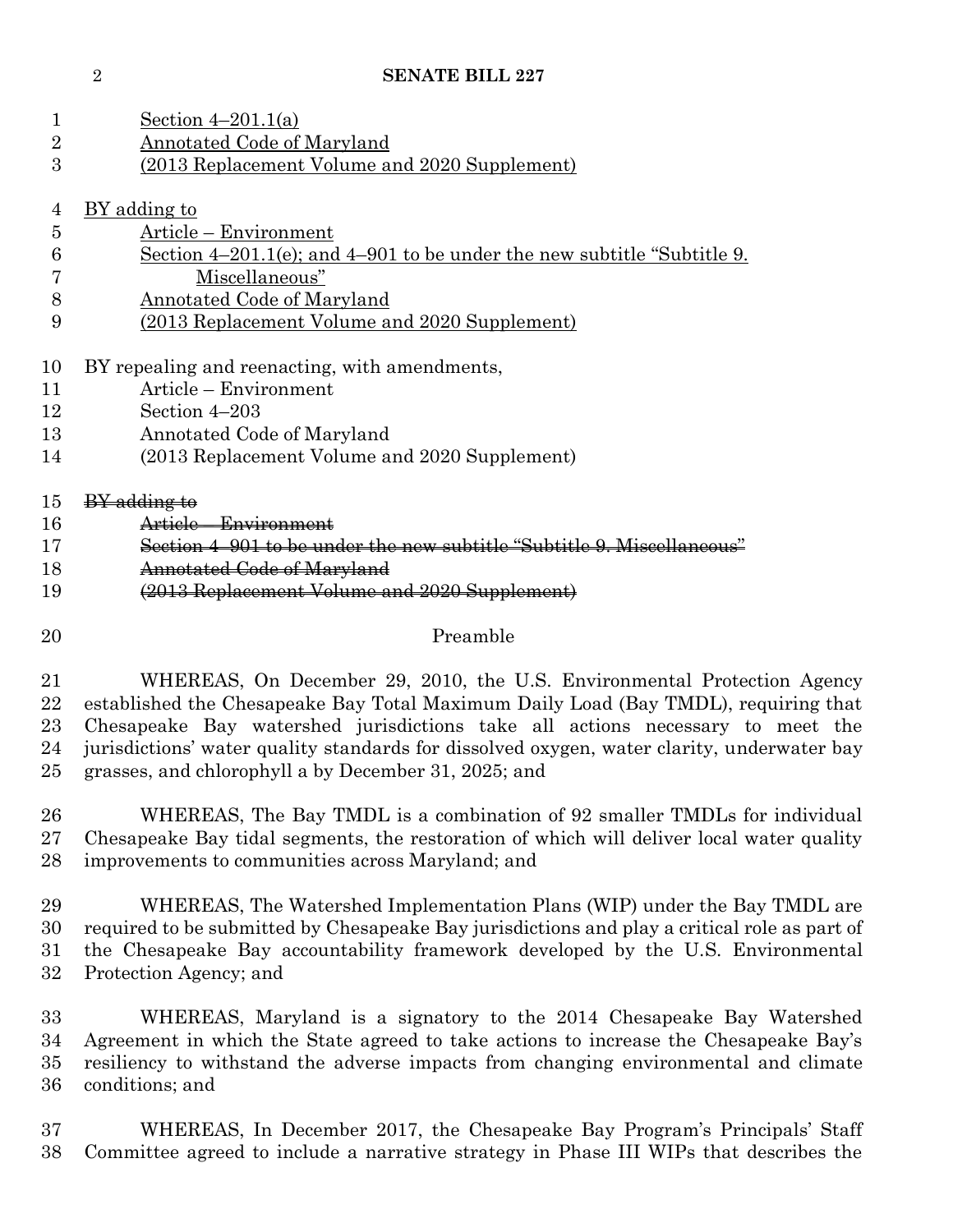| 1                              | Section $4-201.1(a)$                                                                                                                                                                                                                                                                                                                                                                                 |
|--------------------------------|------------------------------------------------------------------------------------------------------------------------------------------------------------------------------------------------------------------------------------------------------------------------------------------------------------------------------------------------------------------------------------------------------|
| $\overline{2}$                 | Annotated Code of Maryland                                                                                                                                                                                                                                                                                                                                                                           |
| 3                              | (2013 Replacement Volume and 2020 Supplement)                                                                                                                                                                                                                                                                                                                                                        |
| $\overline{4}$                 | <u>BY adding to</u>                                                                                                                                                                                                                                                                                                                                                                                  |
| $\overline{5}$                 | Article - Environment                                                                                                                                                                                                                                                                                                                                                                                |
| 6                              | Section $4-201.1(e)$ ; and $4-901$ to be under the new subtitle "Subtitle 9.                                                                                                                                                                                                                                                                                                                         |
| 7                              | Miscellaneous"                                                                                                                                                                                                                                                                                                                                                                                       |
| 8                              | Annotated Code of Maryland                                                                                                                                                                                                                                                                                                                                                                           |
| 9                              | (2013 Replacement Volume and 2020 Supplement)                                                                                                                                                                                                                                                                                                                                                        |
| 10                             | BY repealing and reenacting, with amendments,                                                                                                                                                                                                                                                                                                                                                        |
| 11                             | Article – Environment                                                                                                                                                                                                                                                                                                                                                                                |
| 12                             | Section 4-203                                                                                                                                                                                                                                                                                                                                                                                        |
| 13                             | Annotated Code of Maryland                                                                                                                                                                                                                                                                                                                                                                           |
| 14                             | (2013 Replacement Volume and 2020 Supplement)                                                                                                                                                                                                                                                                                                                                                        |
| 15                             | <b>BY</b> adding to                                                                                                                                                                                                                                                                                                                                                                                  |
| 16                             | Article - Environment                                                                                                                                                                                                                                                                                                                                                                                |
| 17                             | Section 4-901 to be under the new subtitle "Subtitle 9. Miscellaneous"                                                                                                                                                                                                                                                                                                                               |
| 18                             | Annotated Code of Maryland                                                                                                                                                                                                                                                                                                                                                                           |
| 19                             | (2013 Replacement Volume and 2020 Supplement)                                                                                                                                                                                                                                                                                                                                                        |
| 20                             | Preamble                                                                                                                                                                                                                                                                                                                                                                                             |
| 21<br>22<br>$23\,$<br>24<br>25 | WHEREAS, On December 29, 2010, the U.S. Environmental Protection Agency<br>established the Chesapeake Bay Total Maximum Daily Load (Bay TMDL), requiring that<br>Chesapeake Bay watershed jurisdictions take all actions necessary to meet the<br>jurisdictions' water quality standards for dissolved oxygen, water clarity, underwater bay<br>grasses, and chlorophyll a by December 31, 2025; and |
| 26<br>$27\,$<br>28             | WHEREAS, The Bay TMDL is a combination of 92 smaller TMDLs for individual<br>Chesapeake Bay tidal segments, the restoration of which will deliver local water quality<br>improvements to communities across Maryland; and                                                                                                                                                                            |
| 29<br>30<br>$31\,$<br>32       | WHEREAS, The Watershed Implementation Plans (WIP) under the Bay TMDL are<br>required to be submitted by Chesapeake Bay jurisdictions and play a critical role as part of<br>the Chesapeake Bay accountability framework developed by the U.S. Environmental<br>Protection Agency; and                                                                                                                |
| 33<br>34<br>$35\,$             | WHEREAS, Maryland is a signatory to the 2014 Chesapeake Bay Watershed<br>Agreement in which the State agreed to take actions to increase the Chesapeake Bay's<br>resiliency to withstand the adverse impacts from changing environmental and climate                                                                                                                                                 |

36 conditions; and

 WHEREAS, In December 2017, the Chesapeake Bay Program's Principals' Staff Committee agreed to include a narrative strategy in Phase III WIPs that describes the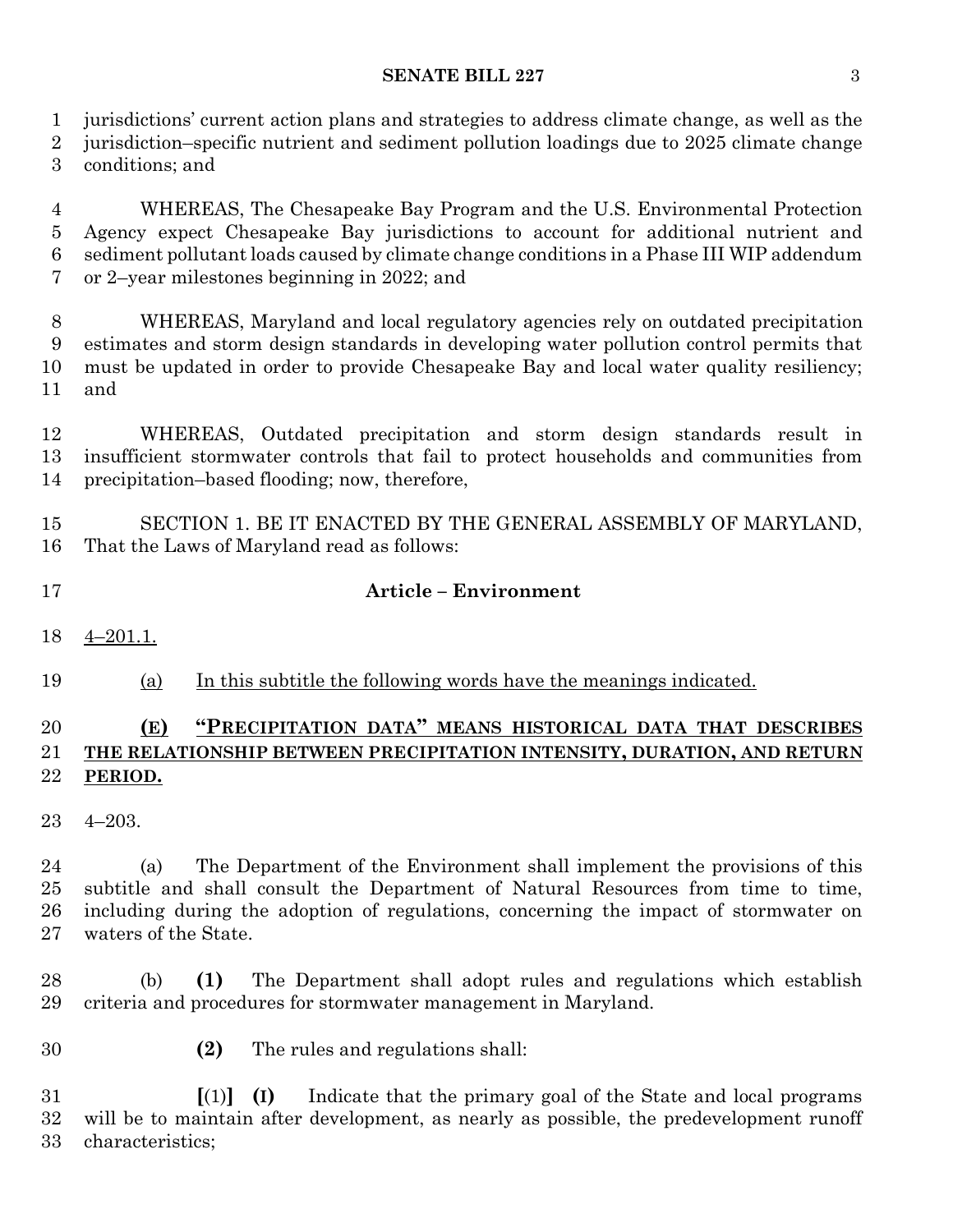#### **SENATE BILL 227** 3

jurisdictions' current action plans and strategies to address climate change, as well as the

 jurisdiction–specific nutrient and sediment pollution loadings due to 2025 climate change conditions; and

 WHEREAS, The Chesapeake Bay Program and the U.S. Environmental Protection Agency expect Chesapeake Bay jurisdictions to account for additional nutrient and sediment pollutant loads caused by climate change conditions in a Phase III WIP addendum or 2–year milestones beginning in 2022; and

 WHEREAS, Maryland and local regulatory agencies rely on outdated precipitation estimates and storm design standards in developing water pollution control permits that must be updated in order to provide Chesapeake Bay and local water quality resiliency; and

 WHEREAS, Outdated precipitation and storm design standards result in insufficient stormwater controls that fail to protect households and communities from precipitation–based flooding; now, therefore,

 SECTION 1. BE IT ENACTED BY THE GENERAL ASSEMBLY OF MARYLAND, That the Laws of Maryland read as follows:

- **Article – Environment**
- 4–201.1.
- (a) In this subtitle the following words have the meanings indicated.

## **(E) "PRECIPITATION DATA" MEANS HISTORICAL DATA THAT DESCRIBES THE RELATIONSHIP BETWEEN PRECIPITATION INTENSITY, DURATION, AND RETURN PERIOD.**

4–203.

 (a) The Department of the Environment shall implement the provisions of this subtitle and shall consult the Department of Natural Resources from time to time, including during the adoption of regulations, concerning the impact of stormwater on waters of the State.

 (b) **(1)** The Department shall adopt rules and regulations which establish criteria and procedures for stormwater management in Maryland.

**(2)** The rules and regulations shall:

 **[**(1)**] (I)** Indicate that the primary goal of the State and local programs will be to maintain after development, as nearly as possible, the predevelopment runoff characteristics;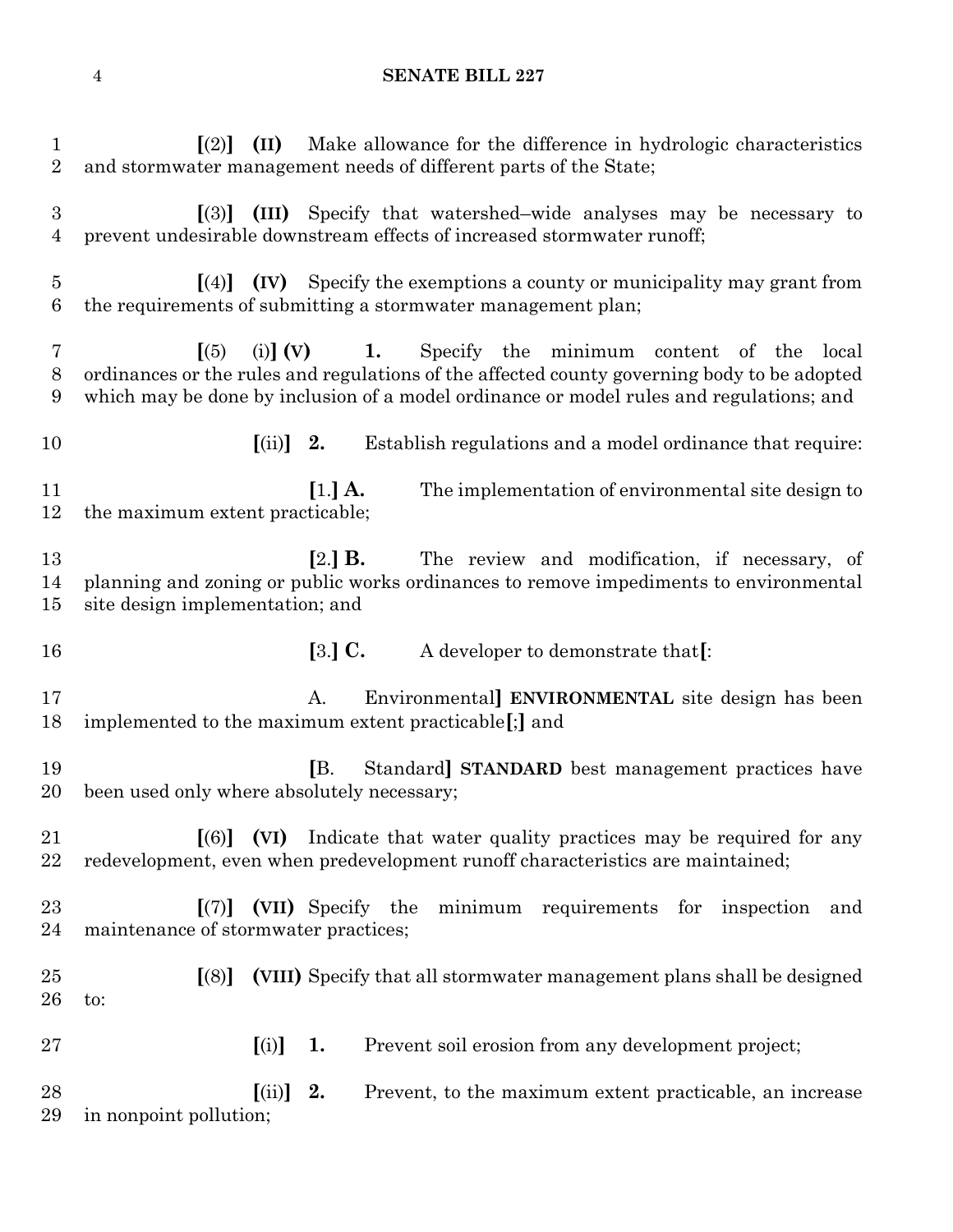| $\mathbf{1}$<br>$\overline{2}$     | (II)<br>Make allowance for the difference in hydrologic characteristics<br>$\lceil (2) \rceil$<br>and stormwater management needs of different parts of the State;                                                                                                                                              |
|------------------------------------|-----------------------------------------------------------------------------------------------------------------------------------------------------------------------------------------------------------------------------------------------------------------------------------------------------------------|
| $\boldsymbol{3}$<br>$\overline{4}$ | $[(3)]$ (III) Specify that watershed–wide analyses may be necessary to<br>prevent undesirable downstream effects of increased stormwater runoff;                                                                                                                                                                |
| $\overline{5}$<br>6                | $\left[\right(4)\right]$ (IV) Specify the exemptions a county or municipality may grant from<br>the requirements of submitting a stormwater management plan;                                                                                                                                                    |
| 7<br>8<br>9                        | $\sqrt{(5)}$<br>(i) $\begin{bmatrix} \n\mathbf{V} \n\end{bmatrix}$ (V) 1. Specify the minimum content of the<br>local<br>ordinances or the rules and regulations of the affected county governing body to be adopted<br>which may be done by inclusion of a model ordinance or model rules and regulations; and |
| 10                                 | $\left[ \text{(ii)} \right]$ 2.<br>Establish regulations and a model ordinance that require:                                                                                                                                                                                                                    |
| 11<br>12                           | $[1.]$ A.<br>The implementation of environmental site design to<br>the maximum extent practicable;                                                                                                                                                                                                              |
| 13<br>14<br>15                     | $[2.]$ B.<br>The review and modification, if necessary, of<br>planning and zoning or public works ordinances to remove impediments to environmental<br>site design implementation; and                                                                                                                          |
| 16                                 | $[3.]$ C.<br>A developer to demonstrate that[:                                                                                                                                                                                                                                                                  |
| 17<br>18                           | Environmental] ENVIRONMENTAL site design has been<br>A.<br>implemented to the maximum extent practicable[;] and                                                                                                                                                                                                 |
| 19<br>20                           | IB.<br>Standard STANDARD best management practices have<br>been used only where absolutely necessary;                                                                                                                                                                                                           |
| 21<br>22                           | Indicate that water quality practices may be required for any<br>$\lceil (6) \rceil$ (VI)<br>redevelopment, even when predevelopment runoff characteristics are maintained;                                                                                                                                     |
| 23<br>24                           | (VII) Specify the<br>minimum requirements for inspection<br>$\vert (7) \vert$<br>and<br>maintenance of stormwater practices;                                                                                                                                                                                    |
| 25<br>26                           | (VIII) Specify that all stormwater management plans shall be designed<br>$\left[ (8) \right]$<br>to:                                                                                                                                                                                                            |
| 27                                 | [(i)]<br>1.<br>Prevent soil erosion from any development project;                                                                                                                                                                                                                                               |
|                                    |                                                                                                                                                                                                                                                                                                                 |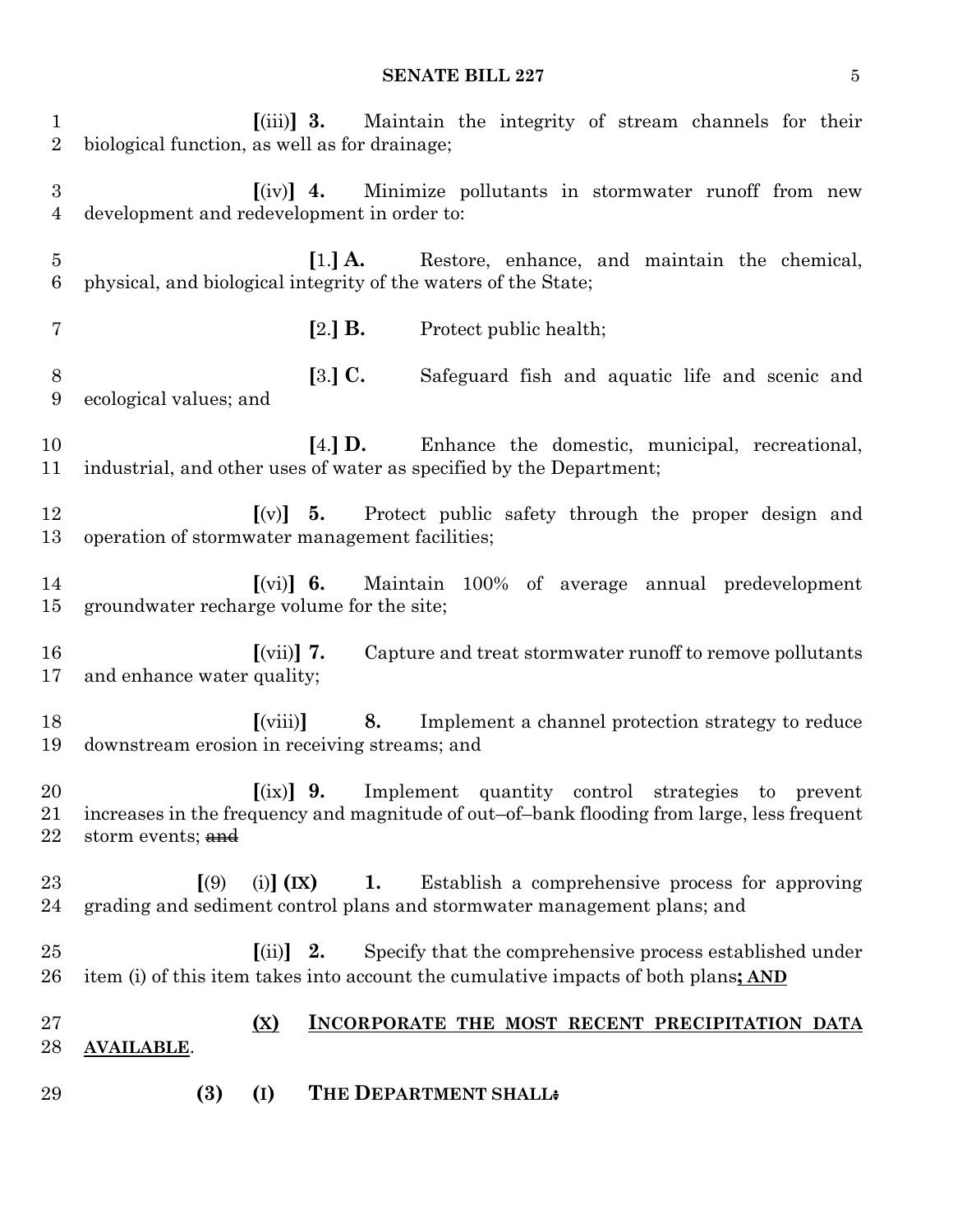#### **SENATE BILL 227** 5

 **[**(iii)**] 3.** Maintain the integrity of stream channels for their biological function, as well as for drainage; **[**(iv)**] 4.** Minimize pollutants in stormwater runoff from new development and redevelopment in order to: **[**1.**] A.** Restore, enhance, and maintain the chemical, physical, and biological integrity of the waters of the State; **[**2.**] B.** Protect public health; **[**3.**] C.** Safeguard fish and aquatic life and scenic and ecological values; and **[**4.**] D.** Enhance the domestic, municipal, recreational, industrial, and other uses of water as specified by the Department; **[**(v)**] 5.** Protect public safety through the proper design and operation of stormwater management facilities; **[**(vi)**] 6.** Maintain 100% of average annual predevelopment groundwater recharge volume for the site; **[**(vii)**] 7.** Capture and treat stormwater runoff to remove pollutants and enhance water quality; **[**(viii)**] 8.** Implement a channel protection strategy to reduce downstream erosion in receiving streams; and **[**(ix)**] 9.** Implement quantity control strategies to prevent increases in the frequency and magnitude of out–of–bank flooding from large, less frequent 22 storm events; and **[**(9) (i)**] (IX) 1.** Establish a comprehensive process for approving grading and sediment control plans and stormwater management plans; and **[**(ii)**] 2.** Specify that the comprehensive process established under item (i) of this item takes into account the cumulative impacts of both plans**; AND (X) INCORPORATE THE MOST RECENT PRECIPITATION DATA AVAILABLE**. **(3) (I) THE DEPARTMENT SHALL:**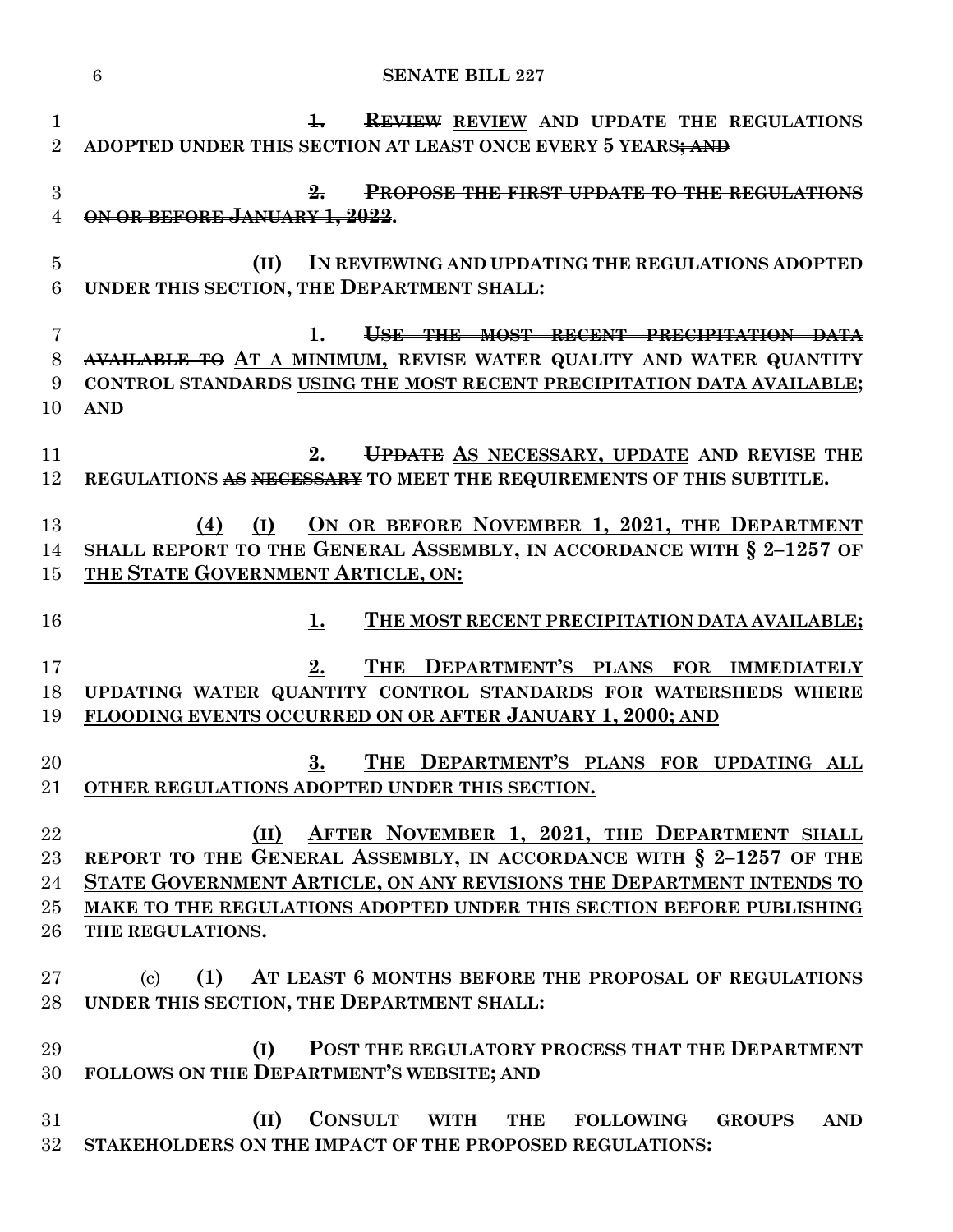|                                | <b>SENATE BILL 227</b><br>6                                                                                                                                                                                                                                                                    |
|--------------------------------|------------------------------------------------------------------------------------------------------------------------------------------------------------------------------------------------------------------------------------------------------------------------------------------------|
| $\mathbf{1}$<br>$\overline{2}$ | $\frac{1}{2}$<br><b>REVIEW REVIEW AND UPDATE THE REGULATIONS</b><br>ADOPTED UNDER THIS SECTION AT LEAST ONCE EVERY 5 YEARS; AND                                                                                                                                                                |
| 3<br>$\overline{4}$            | <b>PROPOSE THE FIRST UPDATE TO THE REGULATIONS</b><br>₩.<br>ON OR BEFORE JANUARY 1, 2022.                                                                                                                                                                                                      |
| $\overline{5}$<br>$\,6\,$      | IN REVIEWING AND UPDATING THE REGULATIONS ADOPTED<br>(II)<br>UNDER THIS SECTION, THE DEPARTMENT SHALL:                                                                                                                                                                                         |
| $\overline{7}$<br>8<br>9<br>10 | USE THE MOST RECENT PRECIPITATION DATA<br>1.<br>AVAILABLE TO AT A MINIMUM, REVISE WATER QUALITY AND WATER QUANTITY<br>CONTROL STANDARDS USING THE MOST RECENT PRECIPITATION DATA AVAILABLE;<br><b>AND</b>                                                                                      |
| 11<br>12                       | UPDATE AS NECESSARY, UPDATE AND REVISE THE<br>2.<br>REGULATIONS AS NECESSARY TO MEET THE REQUIREMENTS OF THIS SUBTITLE.                                                                                                                                                                        |
| 13<br>14<br>15                 | ON OR BEFORE NOVEMBER 1, 2021, THE DEPARTMENT<br>(I)<br>(4)<br>SHALL REPORT TO THE GENERAL ASSEMBLY, IN ACCORDANCE WITH § 2-1257 OF<br>THE STATE GOVERNMENT ARTICLE, ON:                                                                                                                       |
| 16                             | THE MOST RECENT PRECIPITATION DATA AVAILABLE;<br>1.                                                                                                                                                                                                                                            |
| 17<br>18<br>19                 | THE DEPARTMENT'S PLANS FOR IMMEDIATELY<br>2.<br>UPDATING WATER QUANTITY CONTROL STANDARDS FOR WATERSHEDS WHERE<br>FLOODING EVENTS OCCURRED ON OR AFTER JANUARY 1, 2000; AND                                                                                                                    |
| 20<br>21                       | THE DEPARTMENT'S PLANS FOR UPDATING ALL<br>3.<br>OTHER REGULATIONS ADOPTED UNDER THIS SECTION.                                                                                                                                                                                                 |
| 22<br>23<br>24<br>25<br>26     | AFTER NOVEMBER 1, 2021, THE DEPARTMENT SHALL<br>(II)<br>REPORT TO THE GENERAL ASSEMBLY, IN ACCORDANCE WITH § 2-1257 OF THE<br>STATE GOVERNMENT ARTICLE, ON ANY REVISIONS THE DEPARTMENT INTENDS TO<br>MAKE TO THE REGULATIONS ADOPTED UNDER THIS SECTION BEFORE PUBLISHING<br>THE REGULATIONS. |
| 27<br>28                       | (1)<br>AT LEAST 6 MONTHS BEFORE THE PROPOSAL OF REGULATIONS<br>$\left( \mathrm{c}\right)$<br>UNDER THIS SECTION, THE DEPARTMENT SHALL:                                                                                                                                                         |
| 29<br>30                       | POST THE REGULATORY PROCESS THAT THE DEPARTMENT<br>(I)<br>FOLLOWS ON THE DEPARTMENT'S WEBSITE; AND                                                                                                                                                                                             |
| 31<br>32                       | CONSULT WITH<br>(II)<br><b>THE</b><br><b>FOLLOWING</b><br><b>GROUPS</b><br><b>AND</b><br>STAKEHOLDERS ON THE IMPACT OF THE PROPOSED REGULATIONS:                                                                                                                                               |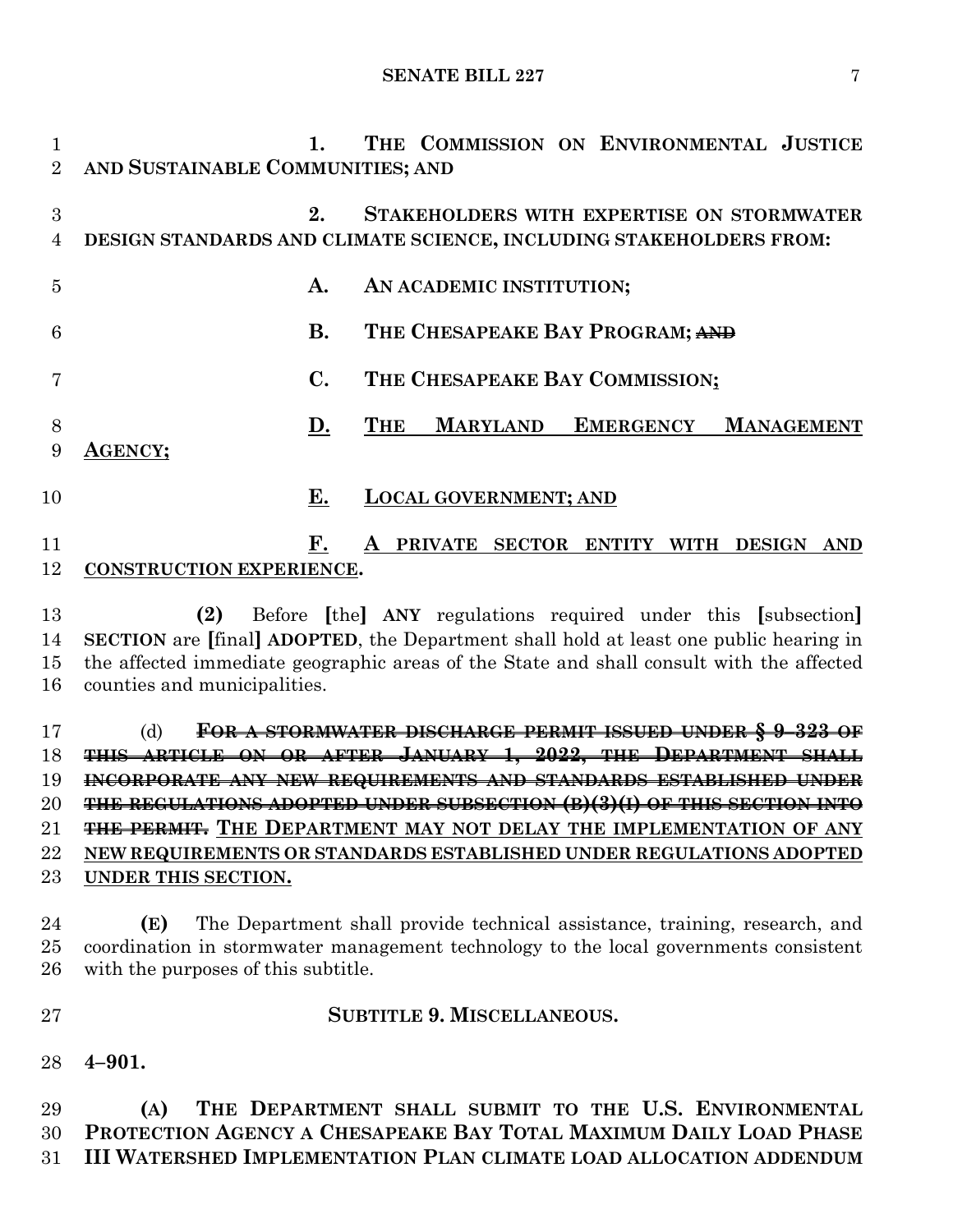**1. THE COMMISSION ON ENVIRONMENTAL JUSTICE AND SUSTAINABLE COMMUNITIES; AND 2. STAKEHOLDERS WITH EXPERTISE ON STORMWATER DESIGN STANDARDS AND CLIMATE SCIENCE, INCLUDING STAKEHOLDERS FROM: A. AN ACADEMIC INSTITUTION; B. THE CHESAPEAKE BAY PROGRAM; AND C. THE CHESAPEAKE BAY COMMISSION; D. THE MARYLAND EMERGENCY MANAGEMENT AGENCY; E. LOCAL GOVERNMENT; AND F. A PRIVATE SECTOR ENTITY WITH DESIGN AND CONSTRUCTION EXPERIENCE. (2)** Before **[**the**] ANY** regulations required under this **[**subsection**] SECTION** are **[**final**] ADOPTED**, the Department shall hold at least one public hearing in the affected immediate geographic areas of the State and shall consult with the affected counties and municipalities. (d) **FOR A STORMWATER DISCHARGE PERMIT ISSUED UNDER § 9–323 OF THIS ARTICLE ON OR AFTER JANUARY 1, 2022, THE DEPARTMENT SHALL INCORPORATE ANY NEW REQUIREMENTS AND STANDARDS ESTABLISHED UNDER THE REGULATIONS ADOPTED UNDER SUBSECTION (B)(3)(I) OF THIS SECTION INTO THE PERMIT. THE DEPARTMENT MAY NOT DELAY THE IMPLEMENTATION OF ANY** 

 **NEW REQUIREMENTS OR STANDARDS ESTABLISHED UNDER REGULATIONS ADOPTED UNDER THIS SECTION.**

 **(E)** The Department shall provide technical assistance, training, research, and coordination in stormwater management technology to the local governments consistent with the purposes of this subtitle.

**SUBTITLE 9. MISCELLANEOUS.**

**4–901.**

 **(A) THE DEPARTMENT SHALL SUBMIT TO THE U.S. ENVIRONMENTAL PROTECTION AGENCY A CHESAPEAKE BAY TOTAL MAXIMUM DAILY LOAD PHASE III WATERSHED IMPLEMENTATION PLAN CLIMATE LOAD ALLOCATION ADDENDUM**